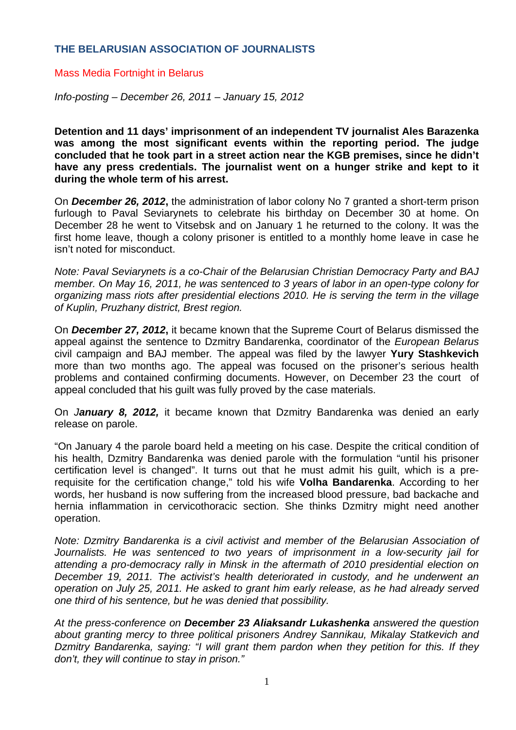## **THE BELARUSIAN ASSOCIATION OF JOURNALISTS**

## Mass Media Fortnight in Belarus

*Info-posting – December 26, 2011 – January 15, 2012* 

**Detention and 11 days' imprisonment of an independent TV journalist Ales Barazenka was among the most significant events within the reporting period. The judge concluded that he took part in a street action near the KGB premises, since he didn't have any press credentials. The journalist went on a hunger strike and kept to it during the whole term of his arrest.** 

On *December 26, 2012***,** the administration of labor colony No 7 granted a short-term prison furlough to Paval Seviarynets to celebrate his birthday on December 30 at home. On December 28 he went to Vitsebsk and on January 1 he returned to the colony. It was the first home leave, though a colony prisoner is entitled to a monthly home leave in case he isn't noted for misconduct.

*Note: Paval Seviarynets is a co-Chair of the Belarusian Christian Democracy Party and BAJ member. On May 16, 2011, he was sentenced to 3 years of labor in an open-type colony for organizing mass riots after presidential elections 2010. He is serving the term in the village of Kuplin, Pruzhany district, Brest region.* 

On *December 27, 2012***,** it became known that the Supreme Court of Belarus dismissed the appeal against the sentence to Dzmitry Bandarenka, coordinator of the *European Belarus* civil campaign and BAJ member*.* The appeal was filed by the lawyer **Yury Stashkevich**  more than two months ago. The appeal was focused on the prisoner's serious health problems and contained confirming documents. However, on December 23 the court of appeal concluded that his guilt was fully proved by the case materials.

On *January 8, 2012,* it became known that Dzmitry Bandarenka was denied an early release on parole.

"On January 4 the parole board held a meeting on his case. Despite the critical condition of his health, Dzmitry Bandarenka was denied parole with the formulation "until his prisoner certification level is changed". It turns out that he must admit his guilt, which is a prerequisite for the certification change," told his wife **Volha Bandarenka**. According to her words, her husband is now suffering from the increased blood pressure, bad backache and hernia inflammation in cervicothoracic section. She thinks Dzmitry might need another operation.

*Note: Dzmitry Bandarenka is a civil activist and member of the Belarusian Association of*  Journalists. He was sentenced to two years of imprisonment in a low-security jail for *attending a pro-democracy rally in Minsk in the aftermath of 2010 presidential election on December 19, 2011. The activist's health deteriorated in custody, and he underwent an operation on July 25, 2011. He asked to grant him early release, as he had already served one third of his sentence, but he was denied that possibility.* 

*At the press-conference on December 23 Aliaksandr Lukashenka answered the question about granting mercy to three political prisoners Andrey Sannikau, Mikalay Statkevich and Dzmitry Bandarenka, saying: "I will grant them pardon when they petition for this. If they don't, they will continue to stay in prison."*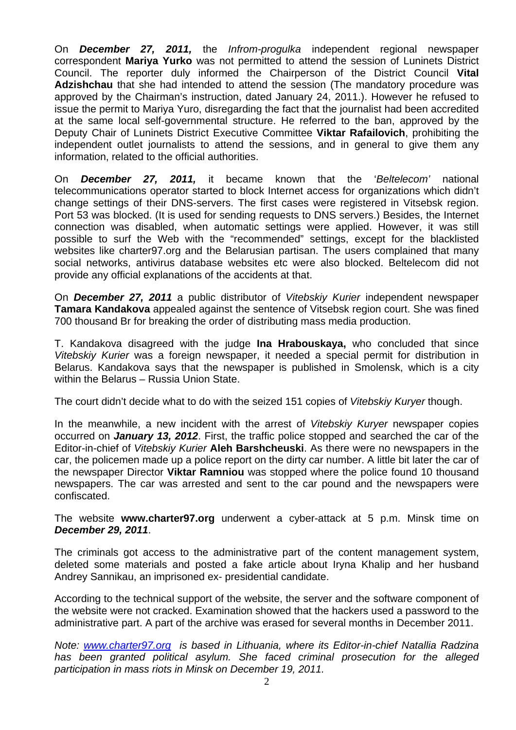On *December 27, 2011,* the *Infrom-progulka* independent regional newspaper correspondent **Mariya Yurko** was not permitted to attend the session of Luninets District Council. The reporter duly informed the Chairperson of the District Council **Vital Adzishchau** that she had intended to attend the session (The mandatory procedure was approved by the Chairman's instruction, dated January 24, 2011.). However he refused to issue the permit to Mariya Yuro, disregarding the fact that the journalist had been accredited at the same local self-governmental structure. He referred to the ban, approved by the Deputy Chair of Luninets District Executive Committee **Viktar Rafailovich**, prohibiting the independent outlet journalists to attend the sessions, and in general to give them any information, related to the official authorities.

On *December 27, 2011,* it became known that the '*Beltelecom'* national telecommunications operator started to block Internet access for organizations which didn't change settings of their DNS-servers. The first cases were registered in Vitsebsk region. Port 53 was blocked. (It is used for sending requests to DNS servers.) Besides, the Internet connection was disabled, when automatic settings were applied. However, it was still possible to surf the Web with the "recommended" settings, except for the blacklisted websites like charter97.org and the Belarusian partisan. The users complained that many social networks, antivirus database websites etc were also blocked. Beltelecom did not provide any official explanations of the accidents at that.

On *December 27, 2011* a public distributor of *Vitebskiy Kurier* independent newspaper **Tamara Kandakova** appealed against the sentence of Vitsebsk region court. She was fined 700 thousand Br for breaking the order of distributing mass media production.

T. Kandakova disagreed with the judge **Ina Hrabouskaya,** who concluded that since *Vitebskiy Kurier* was a foreign newspaper, it needed a special permit for distribution in Belarus. Kandakova says that the newspaper is published in Smolensk, which is a city within the Belarus – Russia Union State.

The court didn't decide what to do with the seized 151 copies of *Vitebskiy Kuryer* though.

In the meanwhile, a new incident with the arrest of *Vitebskiy Kuryer* newspaper copies occurred on *January 13, 2012*. First, the traffic police stopped and searched the car of the Editor-in-chief of *Vitebskiy Kurier* **Aleh Barshcheuski**. As there were no newspapers in the car, the policemen made up a police report on the dirty car number. A little bit later the car of the newspaper Director **Viktar Ramniou** was stopped where the police found 10 thousand newspapers. The car was arrested and sent to the car pound and the newspapers were confiscated.

The website **www.charter97.org** underwent a cyber-attack at 5 p.m. Minsk time on *December 29, 2011*.

The criminals got access to the administrative part of the content management system, deleted some materials and posted a fake article about Iryna Khalip and her husband Andrey Sannikau, an imprisoned ex- presidential candidate.

According to the technical support of the website, the server and the software component of the website were not cracked. Examination showed that the hackers used a password to the administrative part. A part of the archive was erased for several months in December 2011.

*Note: www.charter97.org is based in Lithuania, where its Editor-in-chief Natallia Radzina has been granted political asylum. She faced criminal prosecution for the alleged participation in mass riots in Minsk on December 19, 2011.*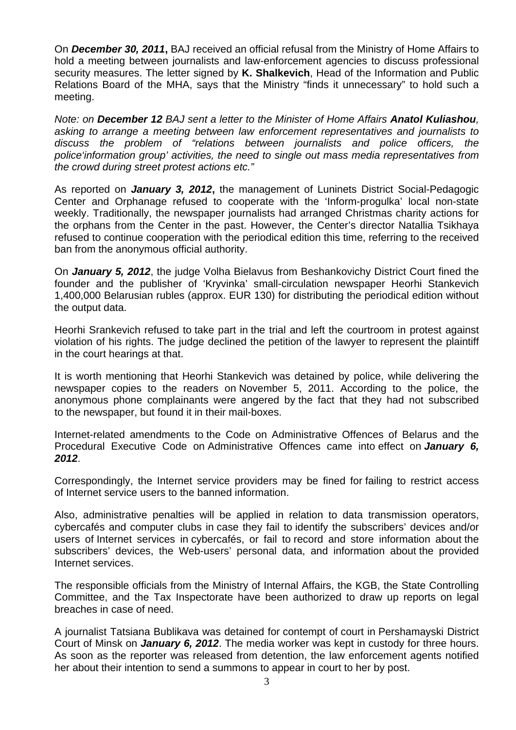On *December 30, 2011***,** BAJ received an official refusal from the Ministry of Home Affairs to hold a meeting between journalists and law-enforcement agencies to discuss professional security measures. The letter signed by **K. Shalkevich**, Head of the Information and Public Relations Board of the MHA, says that the Ministry "finds it unnecessary" to hold such a meeting.

*Note: on December 12 BAJ sent a letter to the Minister of Home Affairs Anatol Kuliashou, asking to arrange a meeting between law enforcement representatives and journalists to discuss the problem of "relations between journalists and police officers, the police'information group' activities, the need to single out mass media representatives from the crowd during street protest actions etc."* 

As reported on *January 3, 2012***,** the management of Luninets District Social-Pedagogic Center and Orphanage refused to cooperate with the 'Inform-progulka' local non-state weekly. Traditionally, the newspaper journalists had arranged Christmas charity actions for the orphans from the Center in the past. However, the Center's director Natallia Tsikhaya refused to continue cooperation with the periodical edition this time, referring to the received ban from the anonymous official authority.

On *January 5, 2012*, the judge Volha Bielavus from Beshankovichy District Court fined the founder and the publisher of 'Kryvinka' small-circulation newspaper Heorhi Stankevich 1,400,000 Belarusian rubles (approx. EUR 130) for distributing the periodical edition without the output data.

Heorhi Srankevich refused to take part in the trial and left the courtroom in protest against violation of his rights. The judge declined the petition of the lawyer to represent the plaintiff in the court hearings at that.

It is worth mentioning that Heorhi Stankevich was detained by police, while delivering the newspaper copies to the readers on November 5, 2011. According to the police, the anonymous phone complainants were angered by the fact that they had not subscribed to the newspaper, but found it in their mail-boxes.

Internet-related amendments to the Code on Administrative Offences of Belarus and the Procedural Executive Code on Administrative Offences came into effect on *January 6, 2012*.

Correspondingly, the Internet service providers may be fined for failing to restrict access of Internet service users to the banned information.

Also, administrative penalties will be applied in relation to data transmission operators, cybercafés and computer clubs in case they fail to identify the subscribers' devices and/or users of Internet services in cybercafés, or fail to record and store information about the subscribers' devices, the Web-users' personal data, and information about the provided Internet services.

The responsible officials from the Ministry of Internal Affairs, the KGB, the State Controlling Committee, and the Tax Inspectorate have been authorized to draw up reports on legal breaches in case of need.

A journalist Tatsiana Bublikava was detained for contempt of court in Pershamayski District Court of Minsk on *January 6, 2012*. The media worker was kept in custody for three hours. As soon as the reporter was released from detention, the law enforcement agents notified her about their intention to send a summons to appear in court to her by post.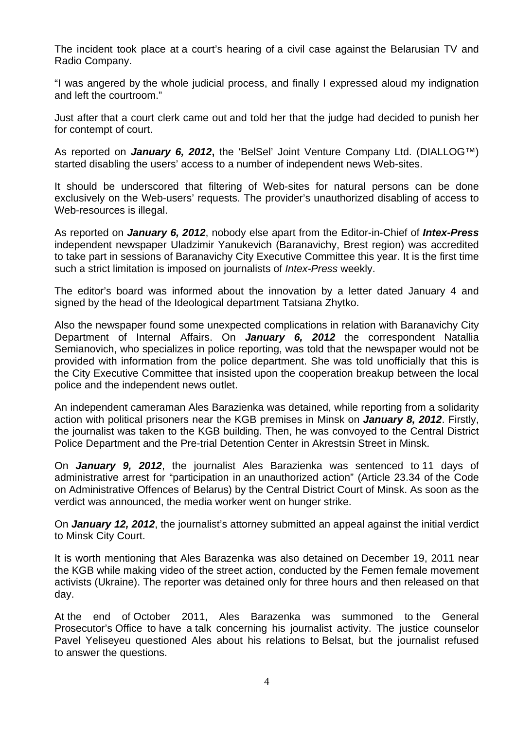The incident took place at a court's hearing of a civil case against the Belarusian TV and Radio Company.

"I was angered by the whole judicial process, and finally I expressed aloud my indignation and left the courtroom."

Just after that a court clerk came out and told her that the judge had decided to punish her for contempt of court.

As reported on *January 6, 2012***,** the 'BelSel' Joint Venture Company Ltd. (DIALLOG™) started disabling the users' access to a number of independent news Web-sites.

It should be underscored that filtering of Web-sites for natural persons can be done exclusively on the Web-users' requests. The provider's unauthorized disabling of access to Web-resources is illegal.

As reported on *January 6, 2012*, nobody else apart from the Editor-in-Chief of *Intex-Press*  independent newspaper Uladzimir Yanukevich (Baranavichy, Brest region) was accredited to take part in sessions of Baranavichy City Executive Committee this year. It is the first time such a strict limitation is imposed on journalists of *Intex-Press* weekly.

The editor's board was informed about the innovation by a letter dated January 4 and signed by the head of the Ideological department Tatsiana Zhytko.

Also the newspaper found some unexpected complications in relation with Baranavichy City Department of Internal Affairs. On *January 6, 2012* the correspondent Natallia Semianovich, who specializes in police reporting, was told that the newspaper would not be provided with information from the police department. She was told unofficially that this is the City Executive Committee that insisted upon the cooperation breakup between the local police and the independent news outlet.

An independent cameraman Ales Barazienka was detained, while reporting from a solidarity action with political prisoners near the KGB premises in Minsk on *January 8, 2012*. Firstly, the journalist was taken to the KGB building. Then, he was convoyed to the Central District Police Department and the Pre-trial Detention Center in Akrestsin Street in Minsk.

On *January 9, 2012*, the journalist Ales Barazienka was sentenced to 11 days of administrative arrest for "participation in an unauthorized action" (Article 23.34 of the Code on Administrative Offences of Belarus) by the Central District Court of Minsk. As soon as the verdict was announced, the media worker went on hunger strike.

On *January 12, 2012*, the journalist's attorney submitted an appeal against the initial verdict to Minsk City Court.

It is worth mentioning that Ales Barazenka was also detained on December 19, 2011 near the KGB while making video of the street action, conducted by the Femen female movement activists (Ukraine). The reporter was detained only for three hours and then released on that day.

At the end of October 2011, Ales Barazenka was summoned to the General Prosecutor's Office to have a talk concerning his journalist activity. The justice counselor Pavel Yeliseyeu questioned Ales about his relations to Belsat, but the journalist refused to answer the questions.